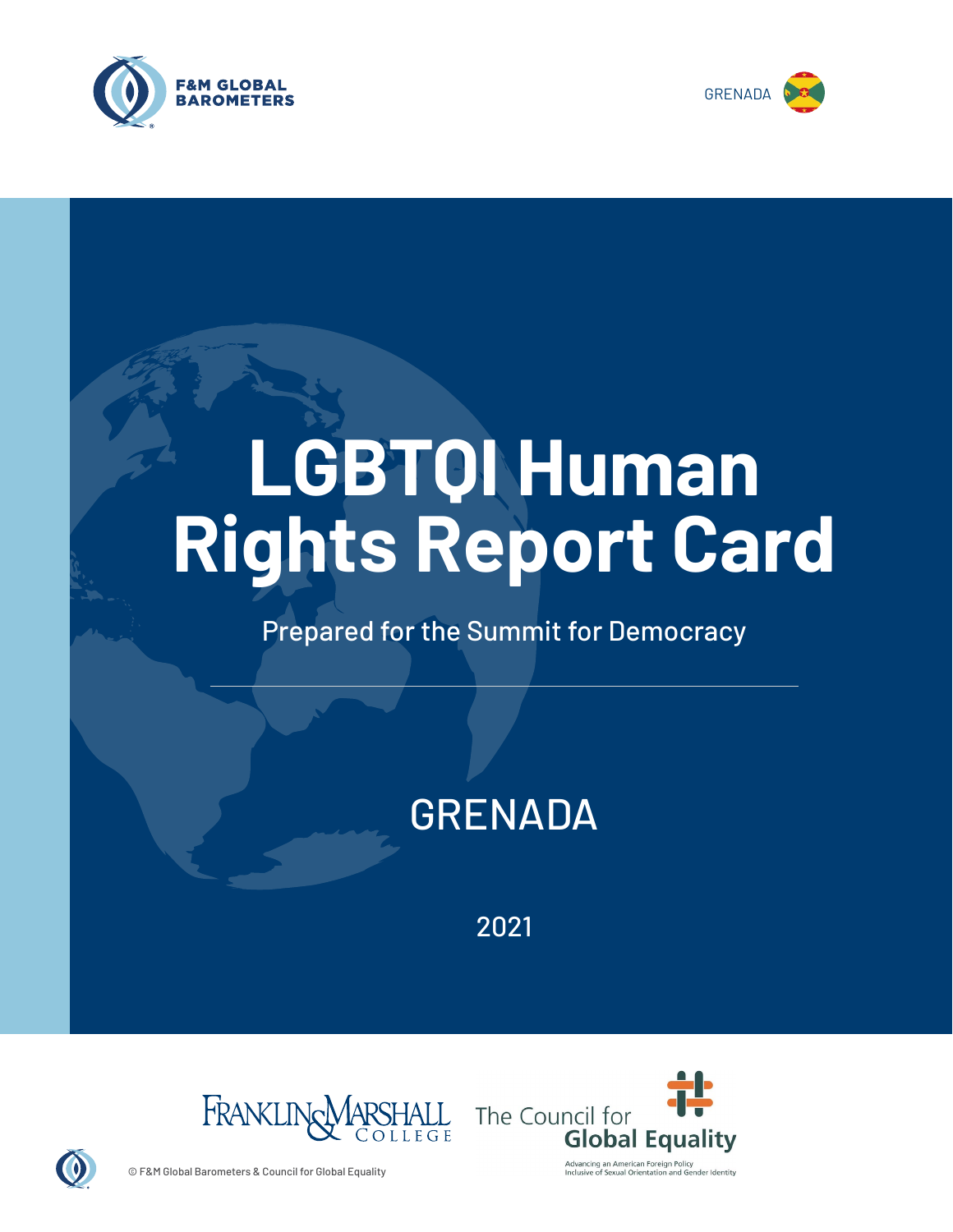



# **LGBTQI Human Rights Report Card**

# Prepared for the Summit for Democracy

# GRENADA

2021





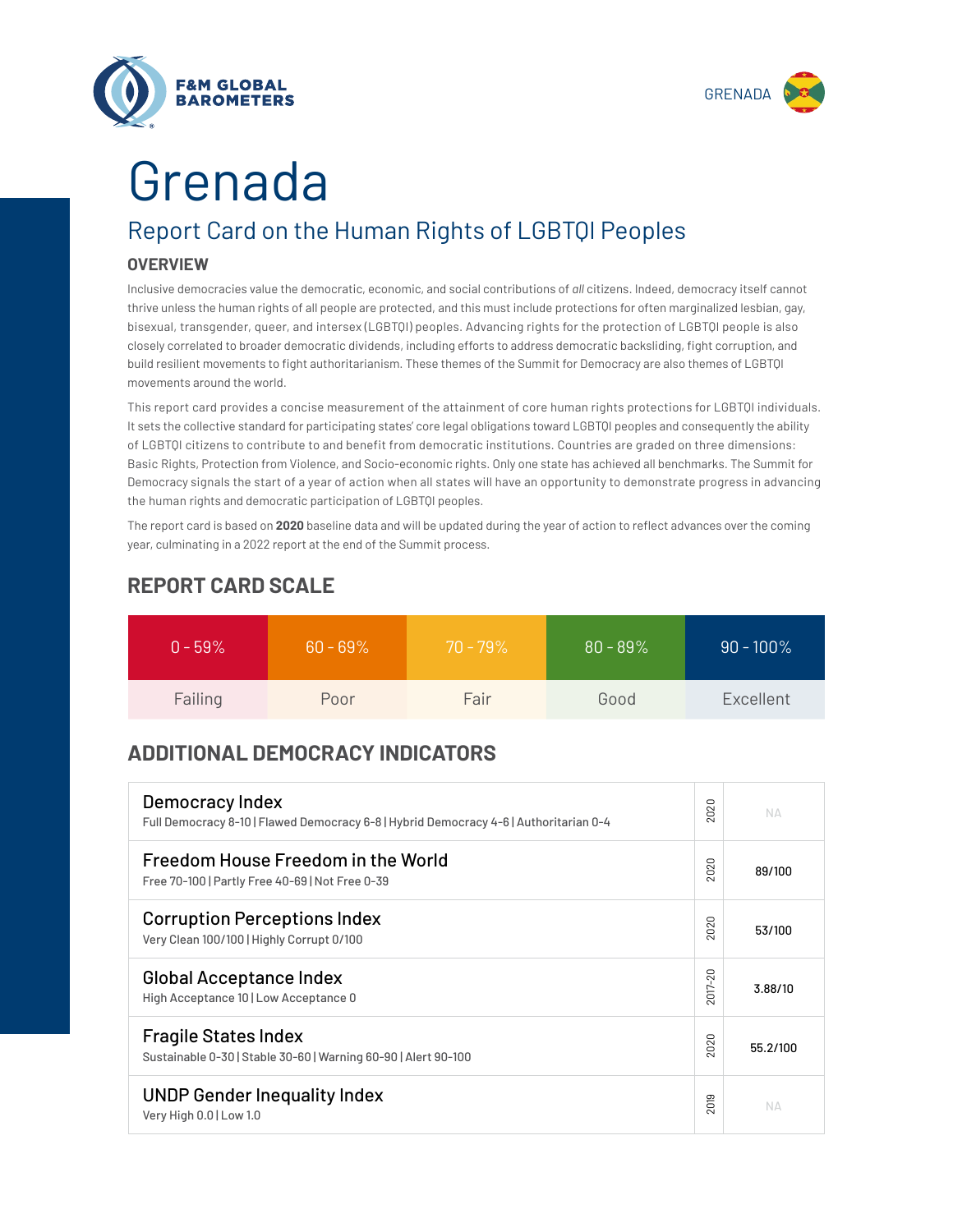



# Grenada

# Report Card on the Human Rights of LGBTQI Peoples

## **OVERVIEW**

Inclusive democracies value the democratic, economic, and social contributions of *all* citizens. Indeed, democracy itself cannot thrive unless the human rights of all people are protected, and this must include protections for often marginalized lesbian, gay, bisexual, transgender, queer, and intersex (LGBTQI) peoples. Advancing rights for the protection of LGBTQI people is also closely correlated to broader democratic dividends, including efforts to address democratic backsliding, fight corruption, and build resilient movements to fight authoritarianism. These themes of the Summit for Democracy are also themes of LGBTQI movements around the world.

This report card provides a concise measurement of the attainment of core human rights protections for LGBTQI individuals. It sets the collective standard for participating states' core legal obligations toward LGBTQI peoples and consequently the ability of LGBTQI citizens to contribute to and benefit from democratic institutions. Countries are graded on three dimensions: Basic Rights, Protection from Violence, and Socio-economic rights. Only one state has achieved all benchmarks. The Summit for Democracy signals the start of a year of action when all states will have an opportunity to demonstrate progress in advancing the human rights and democratic participation of LGBTQI peoples.

The report card is based on **2020** baseline data and will be updated during the year of action to reflect advances over the coming year, culminating in a 2022 report at the end of the Summit process.

| $0 - 59\%$ | $60 - 69\%$ | $70 - 79\%$ | $80 - 89\%$ | $90 - 100\%$ |
|------------|-------------|-------------|-------------|--------------|
| Failing    | Poor        | Fair        | Good        | Excellent    |

# **REPORT CARD SCALE**

# **ADDITIONAL DEMOCRACY INDICATORS**

| Democracy Index<br>Full Democracy 8-10   Flawed Democracy 6-8   Hybrid Democracy 4-6   Authoritarian 0-4 | 2020    | NΔ       |
|----------------------------------------------------------------------------------------------------------|---------|----------|
| Freedom House Freedom in the World<br>Free 70-100   Partly Free 40-69   Not Free 0-39                    |         | 89/100   |
| <b>Corruption Perceptions Index</b><br>Very Clean 100/100   Highly Corrupt 0/100                         | 2020    | 53/100   |
| <b>Global Acceptance Index</b><br>High Acceptance 10   Low Acceptance 0                                  | 2017-20 | 3.88/10  |
| <b>Fragile States Index</b><br>Sustainable 0-30   Stable 30-60   Warning 60-90   Alert 90-100            | 2020    | 55.2/100 |
| <b>UNDP Gender Inequality Index</b><br>Very High 0.0   Low 1.0                                           | 2019    | NД       |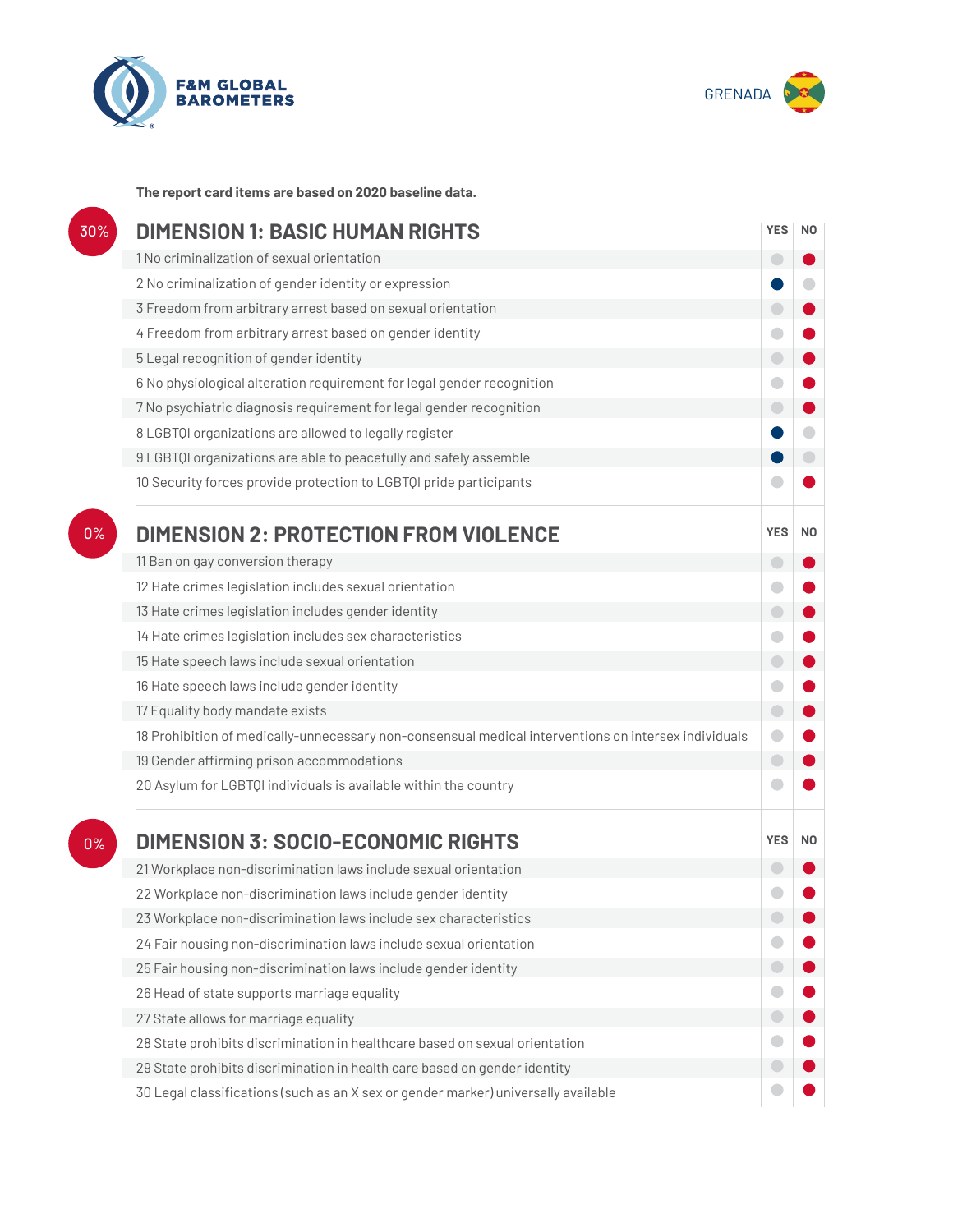



**The report card items are based on 2020 baseline data.**

| 30% | <b>DIMENSION 1: BASIC HUMAN RIGHTS</b>                                                               |            |                |
|-----|------------------------------------------------------------------------------------------------------|------------|----------------|
|     | 1 No criminalization of sexual orientation                                                           | O          |                |
|     | 2 No criminalization of gender identity or expression                                                |            |                |
|     | 3 Freedom from arbitrary arrest based on sexual orientation                                          | $\bigcirc$ |                |
|     | 4 Freedom from arbitrary arrest based on gender identity                                             | $\bigcirc$ |                |
|     | 5 Legal recognition of gender identity                                                               | $\bigcirc$ |                |
|     | 6 No physiological alteration requirement for legal gender recognition                               | O          |                |
|     | 7 No psychiatric diagnosis requirement for legal gender recognition                                  | $\bigcirc$ |                |
|     | 8 LGBTQI organizations are allowed to legally register                                               |            |                |
|     | 9 LGBTQI organizations are able to peacefully and safely assemble                                    |            |                |
|     | 10 Security forces provide protection to LGBTQI pride participants                                   |            |                |
| 0%  | <b>DIMENSION 2: PROTECTION FROM VIOLENCE</b>                                                         | <b>YES</b> | N <sub>0</sub> |
|     | 11 Ban on gay conversion therapy                                                                     | $\Box$     |                |
|     | 12 Hate crimes legislation includes sexual orientation                                               | O          |                |
|     | 13 Hate crimes legislation includes gender identity                                                  | $\bigcirc$ |                |
|     | 14 Hate crimes legislation includes sex characteristics                                              | O          |                |
|     | 15 Hate speech laws include sexual orientation                                                       | $\bigcirc$ |                |
|     | 16 Hate speech laws include gender identity                                                          | $\bigcirc$ |                |
|     | 17 Equality body mandate exists                                                                      | $\bigcirc$ |                |
|     | 18 Prohibition of medically-unnecessary non-consensual medical interventions on intersex individuals | 0          |                |
|     | 19 Gender affirming prison accommodations                                                            | $\bigcirc$ |                |
|     | 20 Asylum for LGBTQI individuals is available within the country                                     |            |                |
| 0%  | <b>DIMENSION 3: SOCIO-ECONOMIC RIGHTS</b>                                                            | <b>YES</b> | N <sub>0</sub> |
|     | 21 Workplace non-discrimination laws include sexual orientation                                      |            |                |
|     | 22 Workplace non-discrimination laws include gender identity                                         |            |                |
|     | 23 Workplace non-discrimination laws include sex characteristics                                     |            |                |
|     | 24 Fair housing non-discrimination laws include sexual orientation                                   |            |                |
|     | 25 Fair housing non-discrimination laws include gender identity                                      | $\bigcirc$ |                |
|     | 26 Head of state supports marriage equality                                                          | 0          |                |
|     | 27 State allows for marriage equality                                                                | $\bigcirc$ |                |
|     | 28 State prohibits discrimination in healthcare based on sexual orientation                          | O          |                |
|     | 29 State prohibits discrimination in health care based on gender identity                            |            |                |
|     |                                                                                                      |            |                |